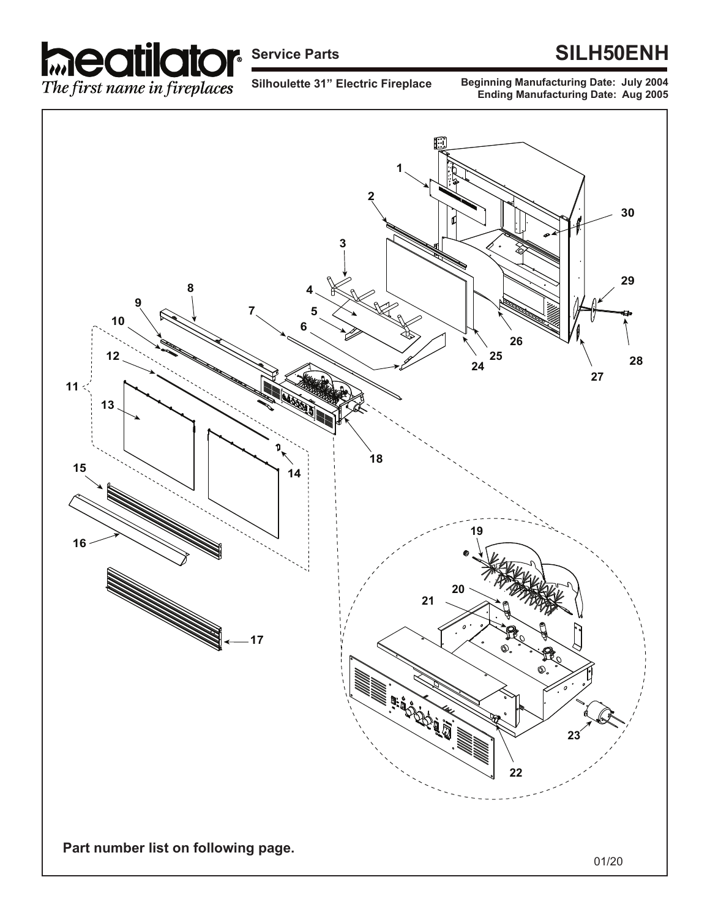

## **Service Parts SILH50ENH**

**Silhoulette 31" Electric Fireplace**

**Beginning Manufacturing Date: July 2004 Ending Manufacturing Date: Aug 2005**